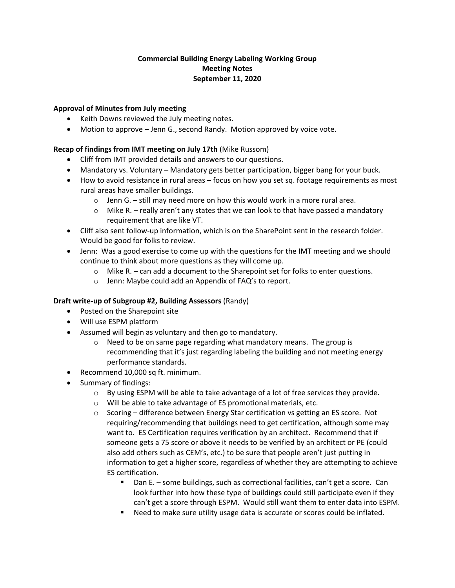# **Commercial Building Energy Labeling Working Group Meeting Notes September 11, 2020**

### **Approval of Minutes from July meeting**

- Keith Downs reviewed the July meeting notes.
- Motion to approve Jenn G., second Randy. Motion approved by voice vote.

### **Recap of findings from IMT meeting on July 17th** (Mike Russom)

- Cliff from IMT provided details and answers to our questions.
- Mandatory vs. Voluntary Mandatory gets better participation, bigger bang for your buck.
- How to avoid resistance in rural areas focus on how you set sq. footage requirements as most rural areas have smaller buildings.
	- $\circ$  Jenn G. still may need more on how this would work in a more rural area.
	- $\circ$  Mike R. really aren't any states that we can look to that have passed a mandatory requirement that are like VT.
- Cliff also sent follow-up information, which is on the SharePoint sent in the research folder. Would be good for folks to review.
- Jenn: Was a good exercise to come up with the questions for the IMT meeting and we should continue to think about more questions as they will come up.
	- $\circ$  Mike R. can add a document to the Sharepoint set for folks to enter questions.
	- o Jenn: Maybe could add an Appendix of FAQ's to report.

#### **Draft write-up of Subgroup #2, Building Assessors** (Randy)

- Posted on the Sharepoint site
- Will use ESPM platform
- Assumed will begin as voluntary and then go to mandatory.
	- o Need to be on same page regarding what mandatory means. The group is recommending that it's just regarding labeling the building and not meeting energy performance standards.
- Recommend 10,000 sq ft. minimum.
- Summary of findings:
	- $\circ$  By using ESPM will be able to take advantage of a lot of free services they provide.
	- o Will be able to take advantage of ES promotional materials, etc.
	- o Scoring difference between Energy Star certification vs getting an ES score. Not requiring/recommending that buildings need to get certification, although some may want to. ES Certification requires verification by an architect. Recommend that if someone gets a 75 score or above it needs to be verified by an architect or PE (could also add others such as CEM's, etc.) to be sure that people aren't just putting in information to get a higher score, regardless of whether they are attempting to achieve ES certification.
		- Dan E. some buildings, such as correctional facilities, can't get a score. Can look further into how these type of buildings could still participate even if they can't get a score through ESPM. Would still want them to enter data into ESPM.
		- Need to make sure utility usage data is accurate or scores could be inflated.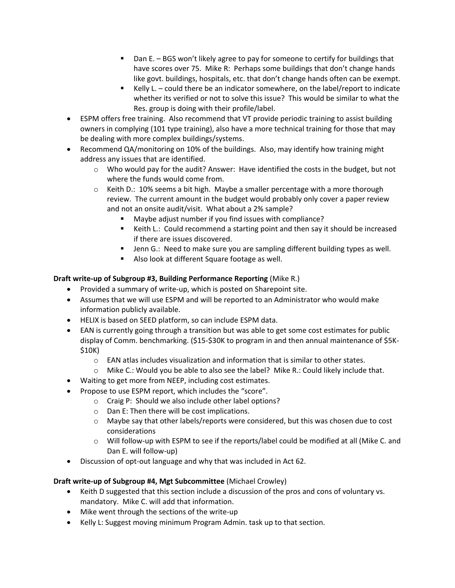- Dan E. BGS won't likely agree to pay for someone to certify for buildings that have scores over 75. Mike R: Perhaps some buildings that don't change hands like govt. buildings, hospitals, etc. that don't change hands often can be exempt.
- Kelly L. could there be an indicator somewhere, on the label/report to indicate whether its verified or not to solve this issue? This would be similar to what the Res. group is doing with their profile/label.
- ESPM offers free training. Also recommend that VT provide periodic training to assist building owners in complying (101 type training), also have a more technical training for those that may be dealing with more complex buildings/systems.
- Recommend QA/monitoring on 10% of the buildings. Also, may identify how training might address any issues that are identified.
	- $\circ$  Who would pay for the audit? Answer: Have identified the costs in the budget, but not where the funds would come from.
	- $\circ$  Keith D.: 10% seems a bit high. Maybe a smaller percentage with a more thorough review. The current amount in the budget would probably only cover a paper review and not an onsite audit/visit. What about a 2% sample?
		- Maybe adjust number if you find issues with compliance?
		- Keith L.: Could recommend a starting point and then say it should be increased if there are issues discovered.
		- Jenn G.: Need to make sure you are sampling different building types as well.
		- Also look at different Square footage as well.

# **Draft write-up of Subgroup #3, Building Performance Reporting** (Mike R.)

- Provided a summary of write-up, which is posted on Sharepoint site.
- Assumes that we will use ESPM and will be reported to an Administrator who would make information publicly available.
- HELIX is based on SEED platform, so can include ESPM data.
- EAN is currently going through a transition but was able to get some cost estimates for public display of Comm. benchmarking. (\$15-\$30K to program in and then annual maintenance of \$5K- \$10K)
	- $\circ$  EAN atlas includes visualization and information that is similar to other states.
	- $\circ$  Mike C.: Would you be able to also see the label? Mike R.: Could likely include that.
- Waiting to get more from NEEP, including cost estimates.
- Propose to use ESPM report, which includes the "score".
	- o Craig P: Should we also include other label options?
	- o Dan E: Then there will be cost implications.
	- $\circ$  Maybe say that other labels/reports were considered, but this was chosen due to cost considerations
	- o Will follow-up with ESPM to see if the reports/label could be modified at all (Mike C. and Dan E. will follow-up)
- Discussion of opt-out language and why that was included in Act 62.

# **Draft write-up of Subgroup #4, Mgt Subcommittee** (Michael Crowley)

- Keith D suggested that this section include a discussion of the pros and cons of voluntary vs. mandatory. Mike C. will add that information.
- Mike went through the sections of the write-up
- Kelly L: Suggest moving minimum Program Admin. task up to that section.